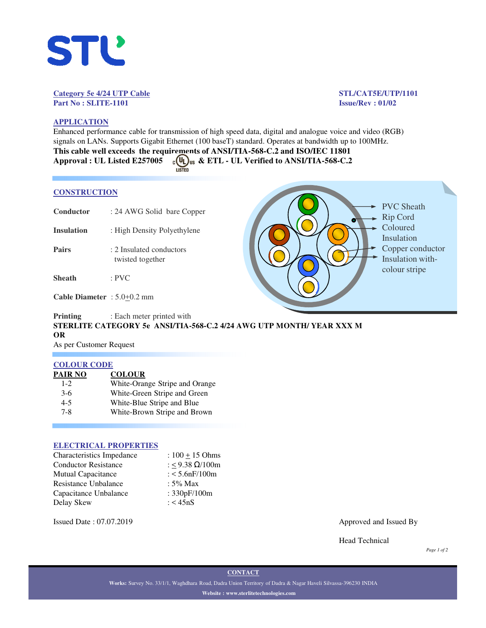

#### **Category 5e 4/24 UTP Cable STL/CAT5E/UTP/1101 Part No : SLITE-1101 Issue/Rev : 01/02**

# **APPLICATION**

Enhanced performance cable for transmission of high speed data, digital and analogue voice and video (RGB) signals on LANs. Supports Gigabit Ethernet (100 baseT) standard. Operates at bandwidth up to 100MHz. **This cable well exceeds the requirements of ANSI/TIA-568-C.2 and ISO/IEC 11801** Approval : UL Listed E257005  $\frac{10}{25}$  as & ETL - UL Verified to ANSI/TIA-568-C.2

#### **CONSTRUCTION**

- **Conductor** : 24 AWG Solid bare Copper
- **Insulation** : High Density Polyethylene
- **Pairs** : 2 Insulated conductors twisted together
- **Sheath** : PVC

**Cable Diameter** : 5.0+0.2 mm

# **Printing** : Each meter printed with **STERLITE CATEGORY 5e ANSI/TIA-568-C.2 4/24 AWG UTP MONTH/ YEAR XXX M OR** As per Customer Request

## **COLOUR CODE**

| White-Orange Stripe and Orange |
|--------------------------------|
| White-Green Stripe and Green   |
|                                |
| White-Brown Stripe and Brown   |
| White-Blue Stripe and Blue     |

#### **ELECTRICAL PROPERTIES**

| : $100 + 15$ Ohms      |
|------------------------|
| : < 9.38 $\Omega/100m$ |
| : $< 5.6$ nF/100m      |
| : $5\%$ Max            |
| : 330pF/100m           |
| : $<$ 45nS             |
|                        |

PVC Sheath Rip Cord Coloured Insulation Copper conductor Insulation withcolour stripe

Issued Date : 07.07.2019 Approved and Issued By

Head Technical

*Page 1 of 2*

**Works:** Survey No. 33/1/1, Waghdhara Road, Dadra Union Territory of Dadra & Nagar Haveli Silvassa-396230 INDIA **Website : www.sterlitetechnologies.com**